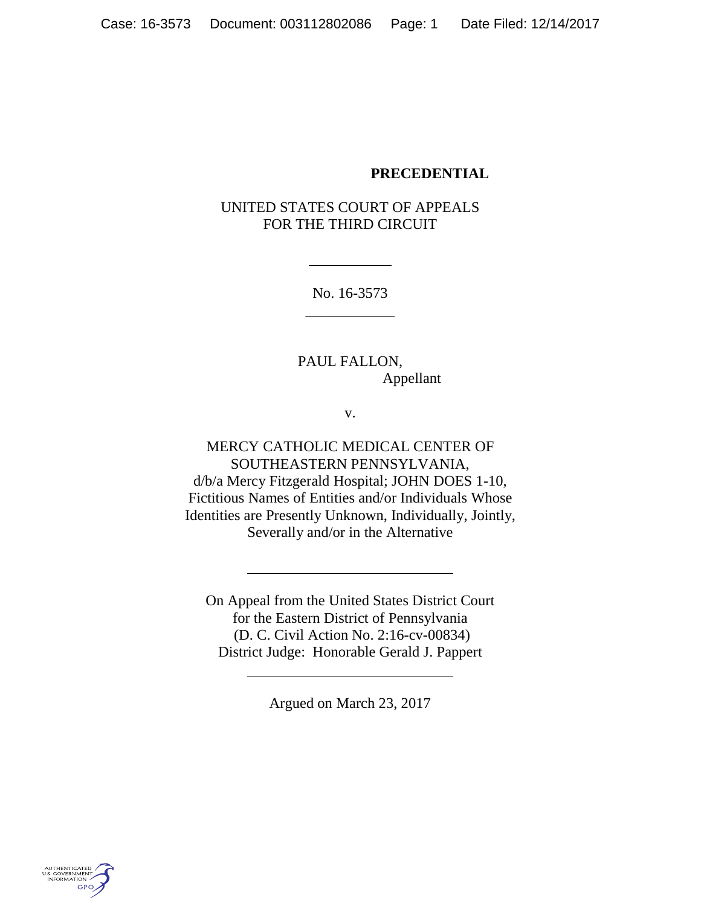#### **PRECEDENTIAL**

## UNITED STATES COURT OF APPEALS FOR THE THIRD CIRCUIT

No. 16-3573 \_\_\_\_\_\_\_\_\_\_\_\_

PAUL FALLON, Appellant

v.

MERCY CATHOLIC MEDICAL CENTER OF SOUTHEASTERN PENNSYLVANIA, d/b/a Mercy Fitzgerald Hospital; JOHN DOES 1-10, Fictitious Names of Entities and/or Individuals Whose Identities are Presently Unknown, Individually, Jointly, Severally and/or in the Alternative

On Appeal from the United States District Court for the Eastern District of Pennsylvania (D. C. Civil Action No. 2:16-cv-00834) District Judge: Honorable Gerald J. Pappert

Argued on March 23, 2017

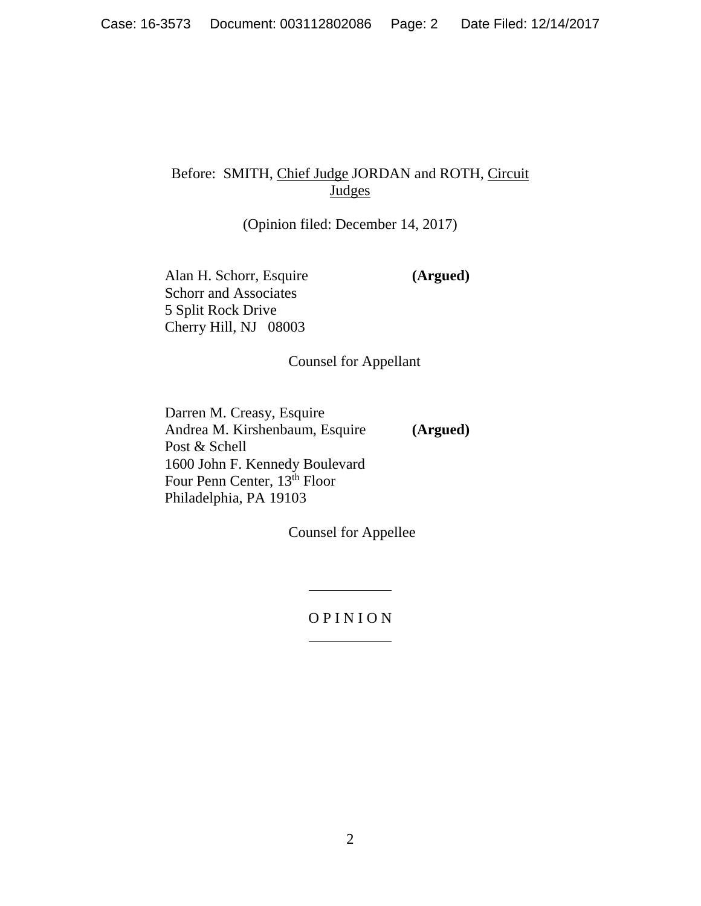# Before: SMITH, Chief Judge JORDAN and ROTH, Circuit Judges

(Opinion filed: December 14, 2017)

Alan H. Schorr, Esquire **(Argued)** Schorr and Associates 5 Split Rock Drive Cherry Hill, NJ 08003

Counsel for Appellant

Darren M. Creasy, Esquire Andrea M. Kirshenbaum, Esquire **(Argued)** Post & Schell 1600 John F. Kennedy Boulevard Four Penn Center, 13<sup>th</sup> Floor Philadelphia, PA 19103

Counsel for Appellee

O P I N I O N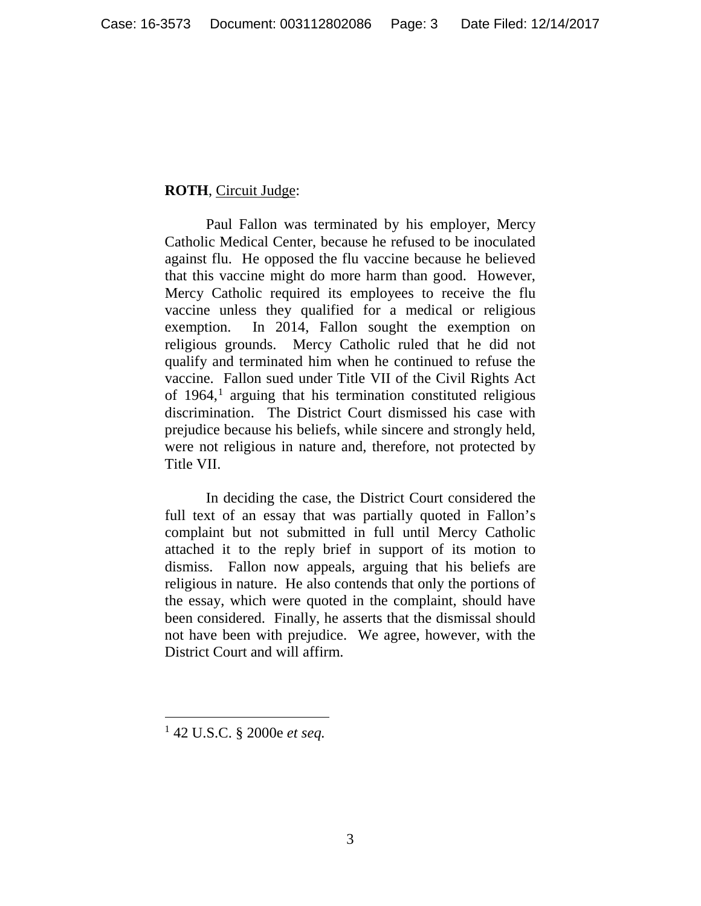## **ROTH**, Circuit Judge:

Paul Fallon was terminated by his employer, Mercy Catholic Medical Center, because he refused to be inoculated against flu. He opposed the flu vaccine because he believed that this vaccine might do more harm than good. However, Mercy Catholic required its employees to receive the flu vaccine unless they qualified for a medical or religious exemption. In 2014, Fallon sought the exemption on religious grounds. Mercy Catholic ruled that he did not qualify and terminated him when he continued to refuse the vaccine. Fallon sued under Title VII of the Civil Rights Act of  $1964$  $1964$ ,<sup>1</sup> arguing that his termination constituted religious discrimination. The District Court dismissed his case with prejudice because his beliefs, while sincere and strongly held, were not religious in nature and, therefore, not protected by Title VII.

In deciding the case, the District Court considered the full text of an essay that was partially quoted in Fallon's complaint but not submitted in full until Mercy Catholic attached it to the reply brief in support of its motion to dismiss. Fallon now appeals, arguing that his beliefs are religious in nature. He also contends that only the portions of the essay, which were quoted in the complaint, should have been considered. Finally, he asserts that the dismissal should not have been with prejudice. We agree, however, with the District Court and will affirm.

<span id="page-2-0"></span> <sup>1</sup> 42 U.S.C. § 2000e *et seq.*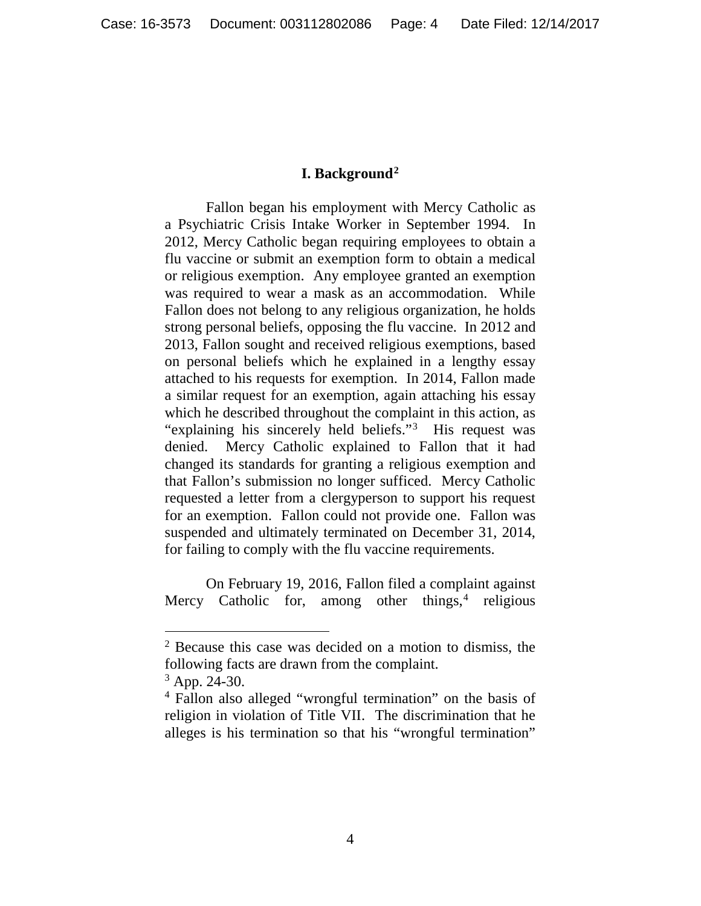#### **I. Background[2](#page-3-0)**

Fallon began his employment with Mercy Catholic as a Psychiatric Crisis Intake Worker in September 1994. In 2012, Mercy Catholic began requiring employees to obtain a flu vaccine or submit an exemption form to obtain a medical or religious exemption. Any employee granted an exemption was required to wear a mask as an accommodation. While Fallon does not belong to any religious organization, he holds strong personal beliefs, opposing the flu vaccine. In 2012 and 2013, Fallon sought and received religious exemptions, based on personal beliefs which he explained in a lengthy essay attached to his requests for exemption. In 2014, Fallon made a similar request for an exemption, again attaching his essay which he described throughout the complaint in this action, as "explaining his sincerely held beliefs."<sup>[3](#page-3-1)</sup> His request was denied. Mercy Catholic explained to Fallon that it had changed its standards for granting a religious exemption and that Fallon's submission no longer sufficed. Mercy Catholic requested a letter from a clergyperson to support his request for an exemption. Fallon could not provide one. Fallon was suspended and ultimately terminated on December 31, 2014, for failing to comply with the flu vaccine requirements.

On February 19, 2016, Fallon filed a complaint against Mercy Catholic for, among other things, $4$  religious

<span id="page-3-0"></span> <sup>2</sup> Because this case was decided on a motion to dismiss, the following facts are drawn from the complaint.

<span id="page-3-1"></span> $3$  App. 24-30.

<span id="page-3-2"></span><sup>4</sup> Fallon also alleged "wrongful termination" on the basis of religion in violation of Title VII. The discrimination that he alleges is his termination so that his "wrongful termination"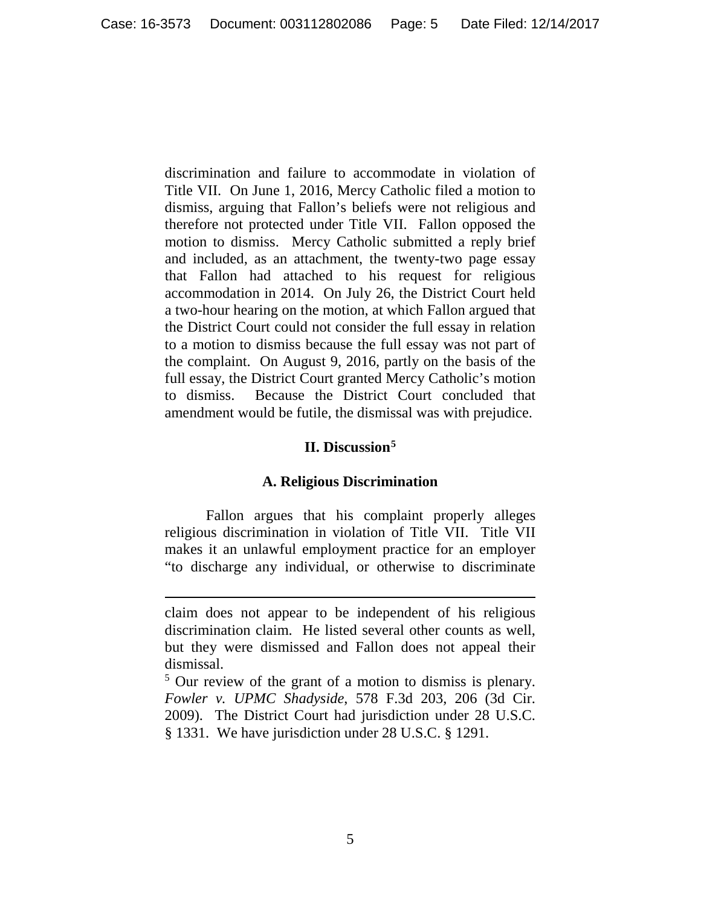discrimination and failure to accommodate in violation of Title VII. On June 1, 2016, Mercy Catholic filed a motion to dismiss, arguing that Fallon's beliefs were not religious and therefore not protected under Title VII. Fallon opposed the motion to dismiss. Mercy Catholic submitted a reply brief and included, as an attachment, the twenty-two page essay that Fallon had attached to his request for religious accommodation in 2014. On July 26, the District Court held a two-hour hearing on the motion, at which Fallon argued that the District Court could not consider the full essay in relation to a motion to dismiss because the full essay was not part of the complaint. On August 9, 2016, partly on the basis of the full essay, the District Court granted Mercy Catholic's motion to dismiss. Because the District Court concluded that amendment would be futile, the dismissal was with prejudice.

## **II. Discussion[5](#page-4-0)**

## **A. Religious Discrimination**

Fallon argues that his complaint properly alleges religious discrimination in violation of Title VII. Title VII makes it an unlawful employment practice for an employer "to discharge any individual, or otherwise to discriminate

 $\overline{a}$ 

claim does not appear to be independent of his religious discrimination claim. He listed several other counts as well, but they were dismissed and Fallon does not appeal their dismissal.

<span id="page-4-0"></span><sup>5</sup> Our review of the grant of a motion to dismiss is plenary. *Fowler v. UPMC Shadyside*, 578 F.3d 203, 206 (3d Cir. 2009). The District Court had jurisdiction under 28 U.S.C. § 1331. We have jurisdiction under 28 U.S.C. § 1291.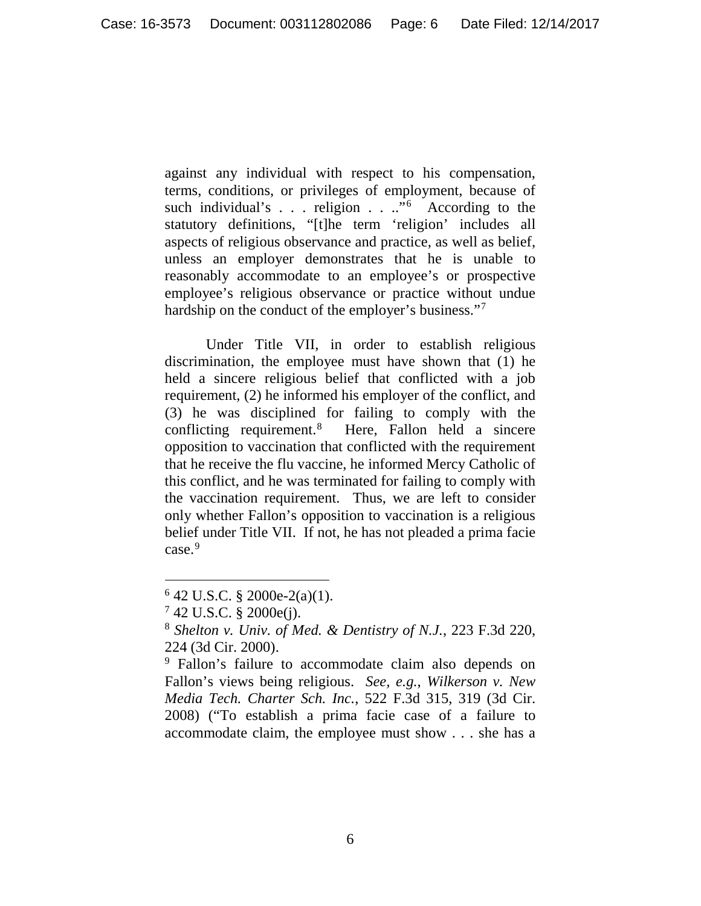against any individual with respect to his compensation, terms, conditions, or privileges of employment, because of such individual's . . . religion . . .."<sup>[6](#page-5-0)</sup> According to the statutory definitions, "[t]he term 'religion' includes all aspects of religious observance and practice, as well as belief, unless an employer demonstrates that he is unable to reasonably accommodate to an employee's or prospective employee's religious observance or practice without undue hardship on the conduct of the employer's business."[7](#page-5-1)

Under Title VII, in order to establish religious discrimination, the employee must have shown that (1) he held a sincere religious belief that conflicted with a job requirement, (2) he informed his employer of the conflict, and (3) he was disciplined for failing to comply with the conflicting requirement.[8](#page-5-2) Here, Fallon held a sincere opposition to vaccination that conflicted with the requirement that he receive the flu vaccine, he informed Mercy Catholic of this conflict, and he was terminated for failing to comply with the vaccination requirement. Thus, we are left to consider only whether Fallon's opposition to vaccination is a religious belief under Title VII. If not, he has not pleaded a prima facie case.[9](#page-5-3)

<span id="page-5-0"></span> $642$  U.S.C. § 2000e-2(a)(1).

<span id="page-5-1"></span> $7,42,$  U.S.C. § 2000e(j).

<span id="page-5-2"></span><sup>8</sup> *Shelton v. Univ. of Med. & Dentistry of N.J.*, 223 F.3d 220, 224 (3d Cir. 2000).

<span id="page-5-3"></span><sup>9</sup> Fallon's failure to accommodate claim also depends on Fallon's views being religious. *See, e.g.*, *Wilkerson v. New Media Tech. Charter Sch. Inc.*, 522 F.3d 315, 319 (3d Cir. 2008) ("To establish a prima facie case of a failure to accommodate claim, the employee must show . . . she has a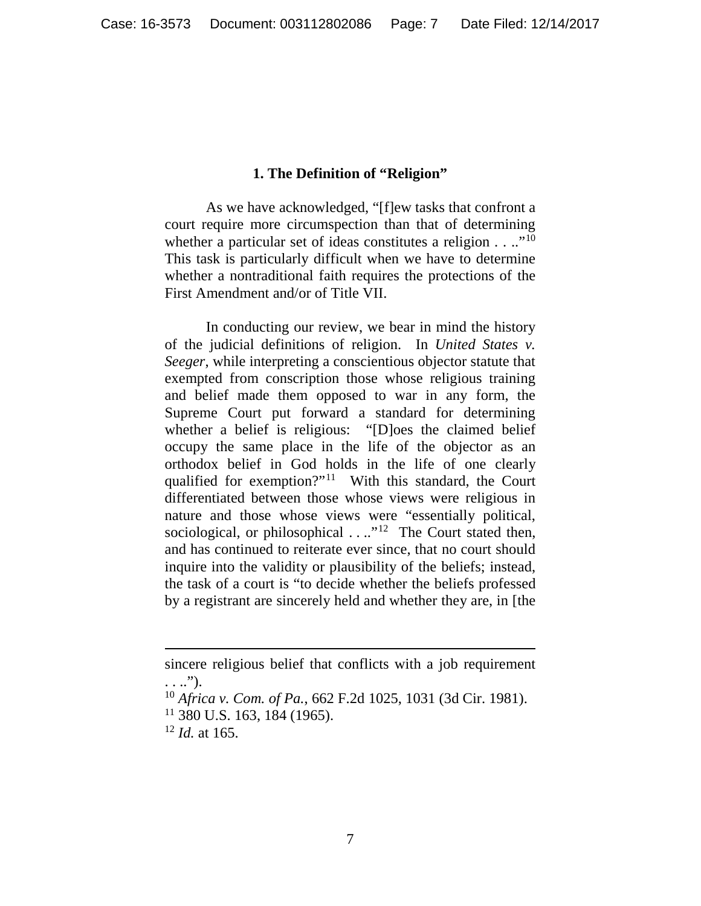#### **1. The Definition of "Religion"**

As we have acknowledged, "[f]ew tasks that confront a court require more circumspection than that of determining whether a particular set of ideas constitutes a religion  $\dots$ ."<sup>[10](#page-6-0)</sup> This task is particularly difficult when we have to determine whether a nontraditional faith requires the protections of the First Amendment and/or of Title VII.

In conducting our review, we bear in mind the history of the judicial definitions of religion. In *United States v. Seeger*, while interpreting a conscientious objector statute that exempted from conscription those whose religious training and belief made them opposed to war in any form, the Supreme Court put forward a standard for determining whether a belief is religious: "[D]oes the claimed belief occupy the same place in the life of the objector as an orthodox belief in God holds in the life of one clearly qualified for exemption?"[11](#page-6-1) With this standard, the Court differentiated between those whose views were religious in nature and those whose views were "essentially political, sociological, or philosophical . . ..<sup>"[12](#page-6-2)</sup> The Court stated then, and has continued to reiterate ever since, that no court should inquire into the validity or plausibility of the beliefs; instead, the task of a court is "to decide whether the beliefs professed by a registrant are sincerely held and whether they are, in [the

 $\overline{a}$ 

sincere religious belief that conflicts with a job requirement . . ..").

<span id="page-6-1"></span><span id="page-6-0"></span><sup>10</sup> *Africa v. Com. of Pa.*, 662 F.2d 1025, 1031 (3d Cir. 1981).  $11$  380 U.S. 163, 184 (1965).

<span id="page-6-2"></span><sup>12</sup> *Id.* at 165.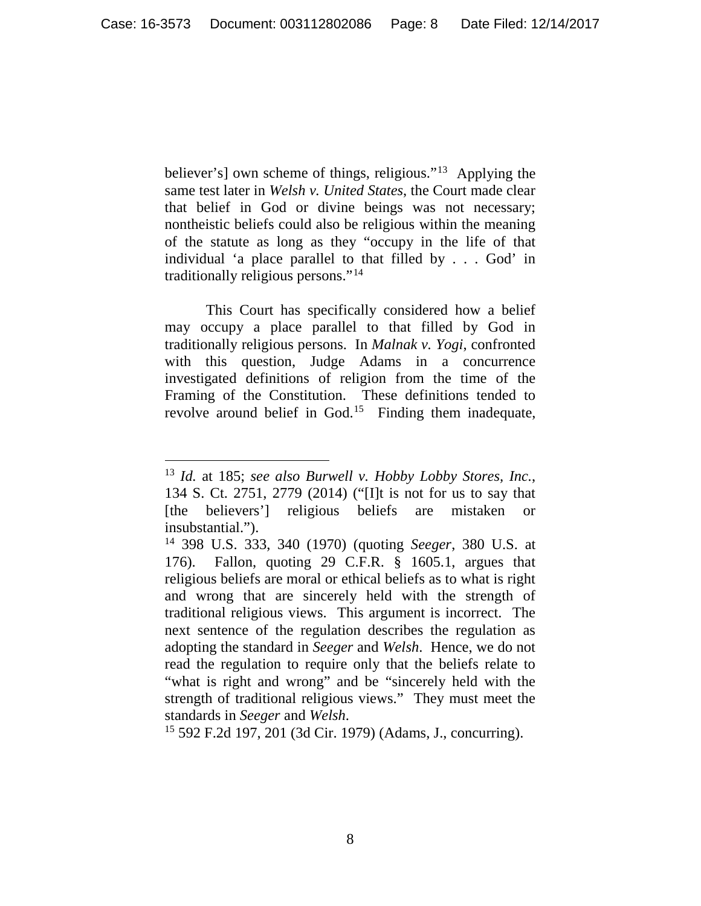believer's] own scheme of things, religious."<sup>13</sup> Applying the same test later in *Welsh v. United States*, the Court made clear that belief in God or divine beings was not necessary; nontheistic beliefs could also be religious within the meaning of the statute as long as they "occupy in the life of that individual 'a place parallel to that filled by . . . God' in traditionally religious persons."[14](#page-7-1)

This Court has specifically considered how a belief may occupy a place parallel to that filled by God in traditionally religious persons. In *Malnak v. Yogi*, confronted with this question, Judge Adams in a concurrence investigated definitions of religion from the time of the Framing of the Constitution. These definitions tended to revolve around belief in God.<sup>15</sup> Finding them inadequate,

<span id="page-7-2"></span><sup>15</sup> 592 F.2d 197, 201 (3d Cir. 1979) (Adams, J., concurring).

<span id="page-7-0"></span> <sup>13</sup> *Id.* at 185; *see also Burwell v. Hobby Lobby Stores, Inc.*, 134 S. Ct. 2751, 2779 (2014) ("[I]t is not for us to say that [the believers'] religious beliefs are mistaken or insubstantial.").

<span id="page-7-1"></span><sup>14</sup> 398 U.S. 333, 340 (1970) (quoting *Seeger*, 380 U.S. at 176). Fallon, quoting 29 C.F.R. § 1605.1, argues that religious beliefs are moral or ethical beliefs as to what is right and wrong that are sincerely held with the strength of traditional religious views. This argument is incorrect. The next sentence of the regulation describes the regulation as adopting the standard in *Seeger* and *Welsh*. Hence, we do not read the regulation to require only that the beliefs relate to "what is right and wrong" and be "sincerely held with the strength of traditional religious views." They must meet the standards in *Seeger* and *Welsh*.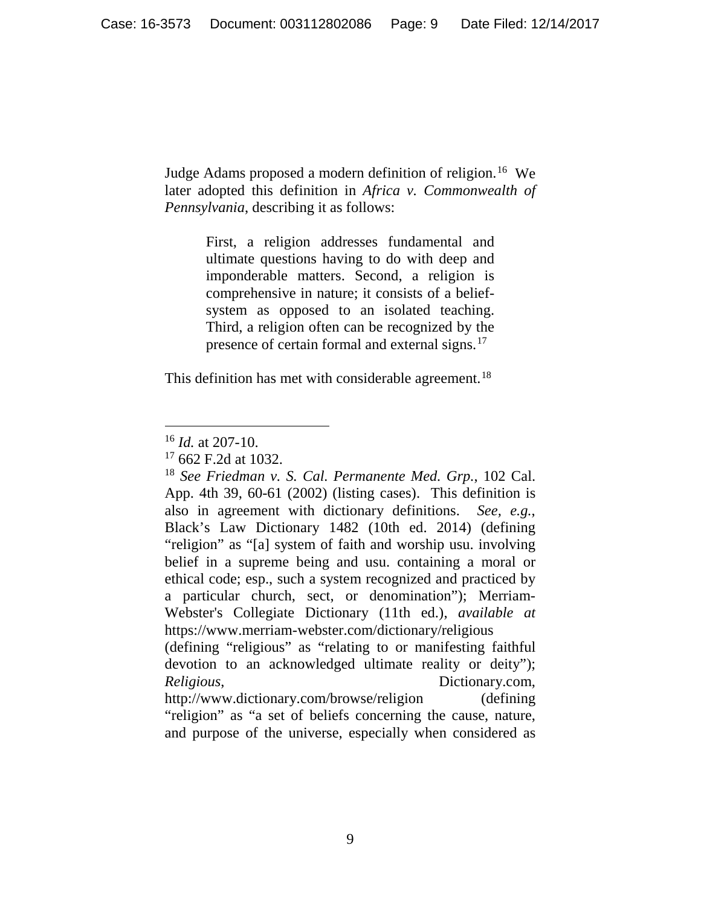Judge Adams proposed a modern definition of religion.<sup>[16](#page-8-0)</sup> We later adopted this definition in *Africa v. Commonwealth of Pennsylvania*, describing it as follows:

> First, a religion addresses fundamental and ultimate questions having to do with deep and imponderable matters. Second, a religion is comprehensive in nature; it consists of a beliefsystem as opposed to an isolated teaching. Third, a religion often can be recognized by the presence of certain formal and external signs.<sup>[17](#page-8-1)</sup>

This definition has met with considerable agreement.<sup>[18](#page-8-2)</sup>

devotion to an acknowledged ultimate reality or deity"); *Religious*, Dictionary.com, http://www.dictionary.com/browse/religion (defining "religion" as "a set of beliefs concerning the cause, nature, and purpose of the universe, especially when considered as

<span id="page-8-0"></span> <sup>16</sup> *Id.* at 207-10.

 $17\,662$  F.2d at 1032.

<span id="page-8-2"></span><span id="page-8-1"></span><sup>18</sup> *See Friedman v. S. Cal. Permanente Med. Grp.*, 102 Cal. App. 4th 39, 60-61 (2002) (listing cases). This definition is also in agreement with dictionary definitions. *See, e.g.*, Black's Law Dictionary 1482 (10th ed. 2014) (defining "religion" as "[a] system of faith and worship usu. involving belief in a supreme being and usu. containing a moral or ethical code; esp., such a system recognized and practiced by a particular church, sect, or denomination"); Merriam-Webster's Collegiate Dictionary (11th ed.), *available at* https://www.merriam-webster.com/dictionary/religious (defining "religious" as "relating to or manifesting faithful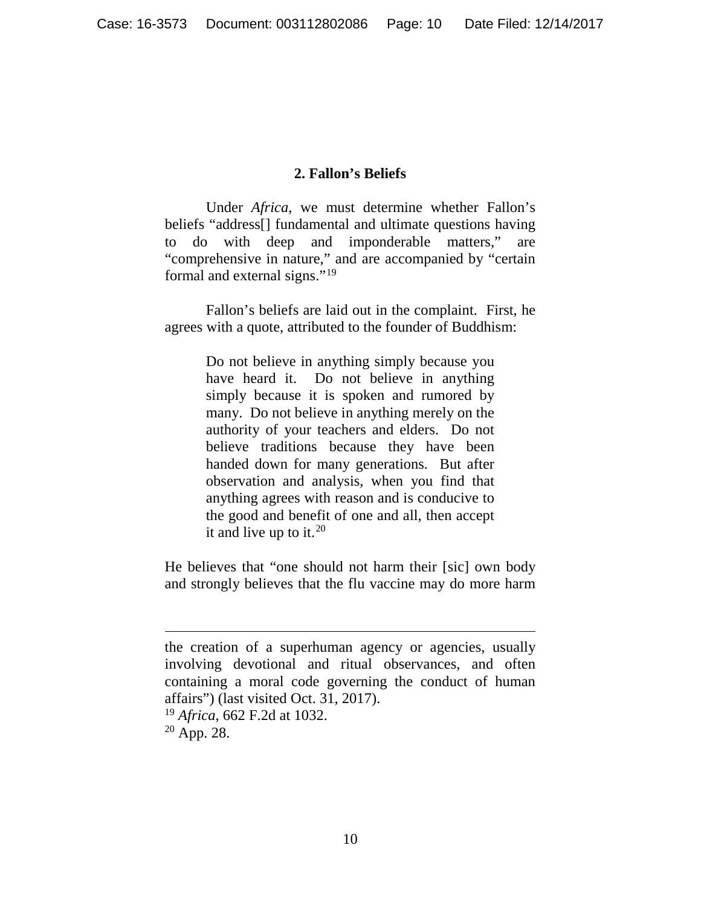#### **2. Fallon's Beliefs**

Under *Africa*, we must determine whether Fallon's beliefs "address[] fundamental and ultimate questions having to do with deep and imponderable matters," are "comprehensive in nature," and are accompanied by "certain formal and external signs."[19](#page-9-0)

Fallon's beliefs are laid out in the complaint. First, he agrees with a quote, attributed to the founder of Buddhism:

> Do not believe in anything simply because you have heard it. Do not believe in anything simply because it is spoken and rumored by many. Do not believe in anything merely on the authority of your teachers and elders. Do not believe traditions because they have been handed down for many generations. But after observation and analysis, when you find that anything agrees with reason and is conducive to the good and benefit of one and all, then accept it and live up to it.<sup>[20](#page-9-1)</sup>

He believes that "one should not harm their [sic] own body and strongly believes that the flu vaccine may do more harm

 $\overline{a}$ 

<span id="page-9-1"></span><span id="page-9-0"></span>the creation of a superhuman agency or agencies, usually involving devotional and ritual observances, and often containing a moral code governing the conduct of human affairs") (last visited Oct. 31, 2017). <sup>19</sup> *Africa*, 662 F.2d at 1032.  $20$  App. 28.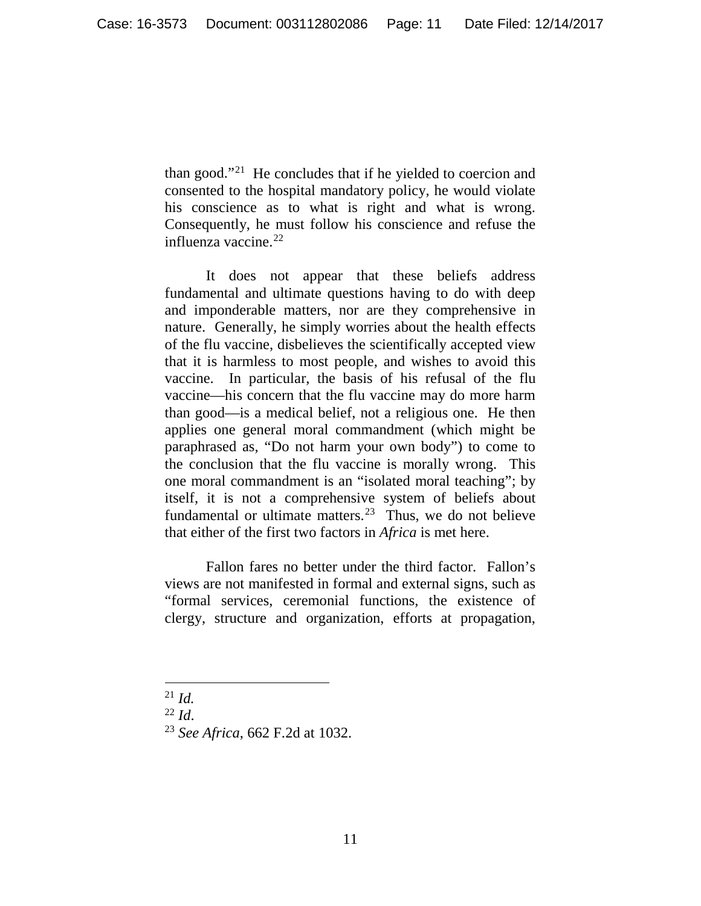than good."[21](#page-10-0) He concludes that if he yielded to coercion and consented to the hospital mandatory policy, he would violate his conscience as to what is right and what is wrong. Consequently, he must follow his conscience and refuse the influenza vaccine.[22](#page-10-1)

It does not appear that these beliefs address fundamental and ultimate questions having to do with deep and imponderable matters, nor are they comprehensive in nature. Generally, he simply worries about the health effects of the flu vaccine, disbelieves the scientifically accepted view that it is harmless to most people, and wishes to avoid this vaccine. In particular, the basis of his refusal of the flu vaccine—his concern that the flu vaccine may do more harm than good—is a medical belief, not a religious one. He then applies one general moral commandment (which might be paraphrased as, "Do not harm your own body") to come to the conclusion that the flu vaccine is morally wrong. This one moral commandment is an "isolated moral teaching"; by itself, it is not a comprehensive system of beliefs about fundamental or ultimate matters.<sup>23</sup> Thus, we do not believe that either of the first two factors in *Africa* is met here.

Fallon fares no better under the third factor. Fallon's views are not manifested in formal and external signs, such as "formal services, ceremonial functions, the existence of clergy, structure and organization, efforts at propagation,

<span id="page-10-1"></span><sup>22</sup> *Id*.

<span id="page-10-0"></span> <sup>21</sup> *Id.*

<span id="page-10-2"></span><sup>23</sup> *See Africa*, 662 F.2d at 1032.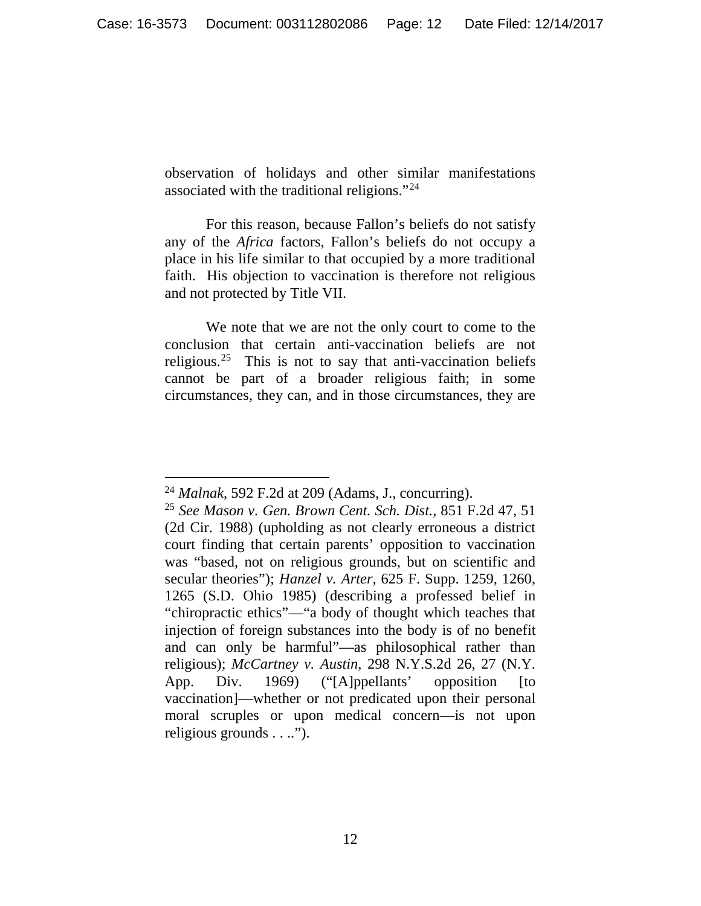observation of holidays and other similar manifestations associated with the traditional religions."[24](#page-11-0)

For this reason, because Fallon's beliefs do not satisfy any of the *Africa* factors, Fallon's beliefs do not occupy a place in his life similar to that occupied by a more traditional faith. His objection to vaccination is therefore not religious and not protected by Title VII.

We note that we are not the only court to come to the conclusion that certain anti-vaccination beliefs are not religious.<sup>25</sup> This is not to say that anti-vaccination beliefs cannot be part of a broader religious faith; in some circumstances, they can, and in those circumstances, they are

<span id="page-11-0"></span> <sup>24</sup> *Malnak*, 592 F.2d at 209 (Adams, J., concurring).

<span id="page-11-1"></span><sup>25</sup> *See Mason v. Gen. Brown Cent. Sch. Dist.*, 851 F.2d 47, 51 (2d Cir. 1988) (upholding as not clearly erroneous a district court finding that certain parents' opposition to vaccination was "based, not on religious grounds, but on scientific and secular theories"); *Hanzel v. Arter*, 625 F. Supp. 1259, 1260, 1265 (S.D. Ohio 1985) (describing a professed belief in "chiropractic ethics"—"a body of thought which teaches that injection of foreign substances into the body is of no benefit and can only be harmful"—as philosophical rather than religious); *McCartney v. Austin*, 298 N.Y.S.2d 26, 27 (N.Y. App. Div. 1969) ("[A]ppellants' opposition [to vaccination]—whether or not predicated upon their personal moral scruples or upon medical concern—is not upon religious grounds . . ..").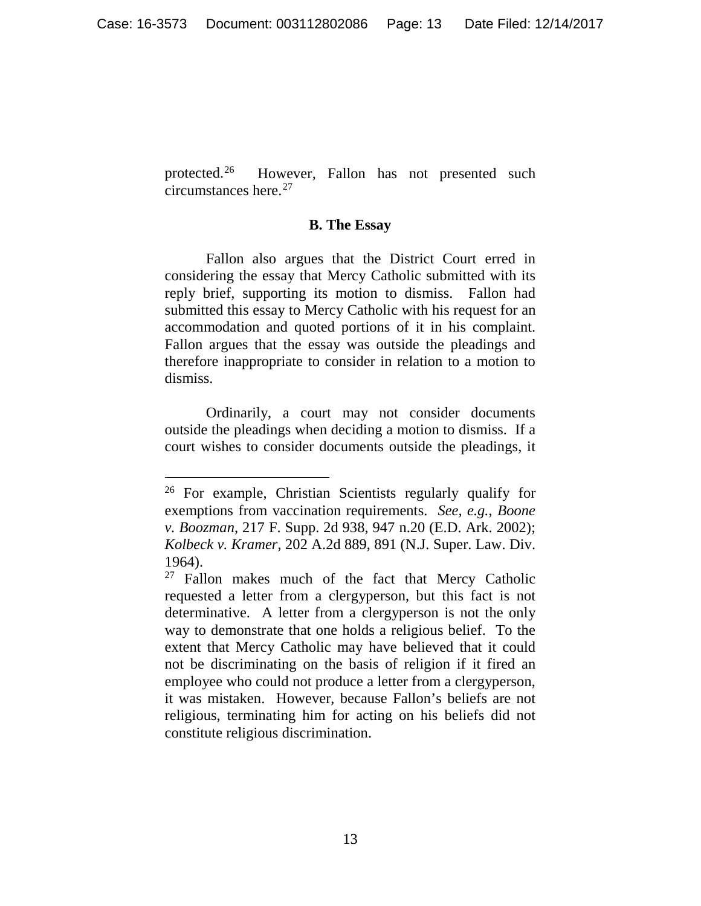protected.<sup>26</sup> However, Fallon has not presented such circumstances here.[27](#page-12-1)

#### **B. The Essay**

Fallon also argues that the District Court erred in considering the essay that Mercy Catholic submitted with its reply brief, supporting its motion to dismiss. Fallon had submitted this essay to Mercy Catholic with his request for an accommodation and quoted portions of it in his complaint. Fallon argues that the essay was outside the pleadings and therefore inappropriate to consider in relation to a motion to dismiss.

Ordinarily, a court may not consider documents outside the pleadings when deciding a motion to dismiss. If a court wishes to consider documents outside the pleadings, it

<span id="page-12-0"></span> <sup>26</sup> For example, Christian Scientists regularly qualify for exemptions from vaccination requirements. *See, e.g.*, *Boone v. Boozman*, 217 F. Supp. 2d 938, 947 n.20 (E.D. Ark. 2002); *Kolbeck v. Kramer*, 202 A.2d 889, 891 (N.J. Super. Law. Div. 1964).

<span id="page-12-1"></span> $27$  Fallon makes much of the fact that Mercy Catholic requested a letter from a clergyperson, but this fact is not determinative. A letter from a clergyperson is not the only way to demonstrate that one holds a religious belief. To the extent that Mercy Catholic may have believed that it could not be discriminating on the basis of religion if it fired an employee who could not produce a letter from a clergyperson, it was mistaken. However, because Fallon's beliefs are not religious, terminating him for acting on his beliefs did not constitute religious discrimination.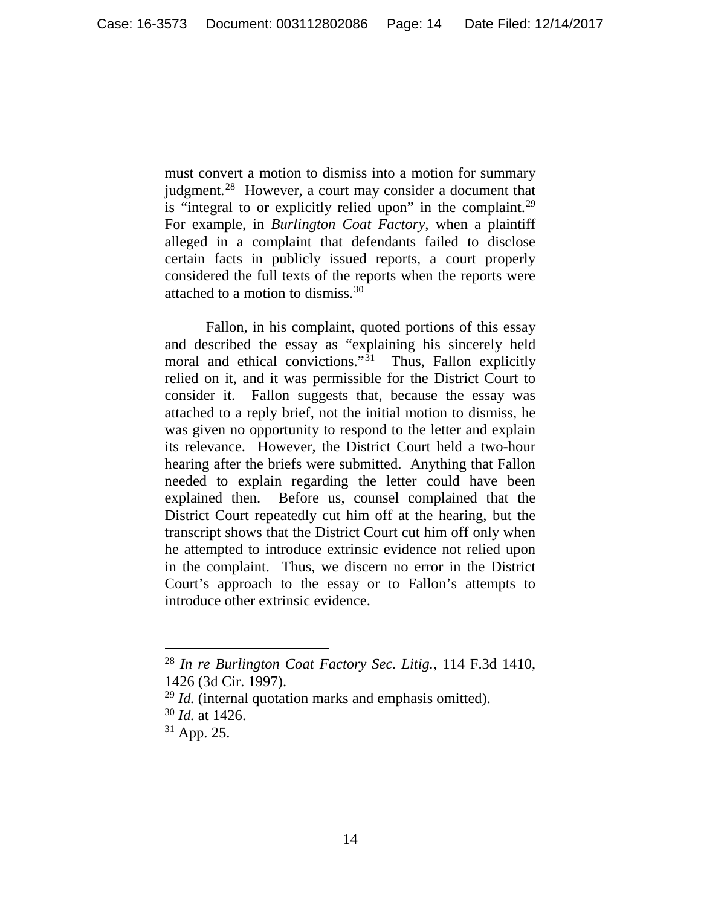must convert a motion to dismiss into a motion for summary judgment.<sup>28</sup> However, a court may consider a document that is "integral to or explicitly relied upon" in the complaint.<sup>[29](#page-13-1)</sup> For example, in *Burlington Coat Factory*, when a plaintiff alleged in a complaint that defendants failed to disclose certain facts in publicly issued reports, a court properly considered the full texts of the reports when the reports were attached to a motion to dismiss.[30](#page-13-2) 

Fallon, in his complaint, quoted portions of this essay and described the essay as "explaining his sincerely held moral and ethical convictions."<sup>[31](#page-13-3)</sup> Thus, Fallon explicitly relied on it, and it was permissible for the District Court to consider it. Fallon suggests that, because the essay was attached to a reply brief, not the initial motion to dismiss, he was given no opportunity to respond to the letter and explain its relevance. However, the District Court held a two-hour hearing after the briefs were submitted. Anything that Fallon needed to explain regarding the letter could have been explained then. Before us, counsel complained that the District Court repeatedly cut him off at the hearing, but the transcript shows that the District Court cut him off only when he attempted to introduce extrinsic evidence not relied upon in the complaint. Thus, we discern no error in the District Court's approach to the essay or to Fallon's attempts to introduce other extrinsic evidence.

<span id="page-13-0"></span> <sup>28</sup> *In re Burlington Coat Factory Sec. Litig.*, 114 F.3d 1410, 1426 (3d Cir. 1997).

<span id="page-13-2"></span><span id="page-13-1"></span><sup>29</sup> *Id.* (internal quotation marks and emphasis omitted).

<sup>30</sup> *Id.* at 1426.

<span id="page-13-3"></span><sup>31</sup> App. 25.